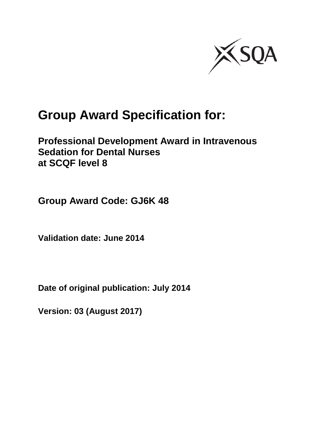

# **Group Award Specification for:**

### **Professional Development Award in Intravenous Sedation for Dental Nurses at SCQF level 8**

**Group Award Code: GJ6K 48**

**Validation date: June 2014**

**Date of original publication: July 2014**

**Version: 03 (August 2017)**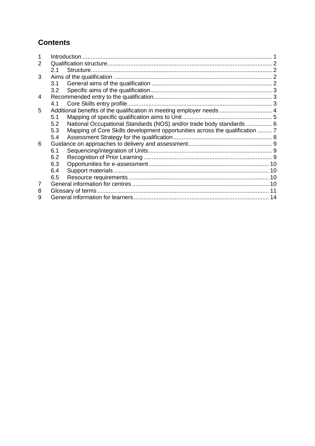#### **Contents**

| 2 |     |                                                                              |  |
|---|-----|------------------------------------------------------------------------------|--|
|   | 2.1 |                                                                              |  |
| 3 |     |                                                                              |  |
|   |     |                                                                              |  |
|   | 3.2 |                                                                              |  |
| 4 |     |                                                                              |  |
|   | 4.1 |                                                                              |  |
| 5 |     | Additional benefits of the qualification in meeting employer needs  4        |  |
|   | 5.1 |                                                                              |  |
|   | 5.2 | National Occupational Standards (NOS) and/or trade body standards  6         |  |
|   | 5.3 | Mapping of Core Skills development opportunities across the qualification  7 |  |
|   | 5.4 |                                                                              |  |
| 6 |     |                                                                              |  |
|   | 6.1 |                                                                              |  |
|   | 6.2 |                                                                              |  |
|   | 6.3 |                                                                              |  |
|   | 6.4 |                                                                              |  |
|   | 6.5 |                                                                              |  |
| 7 |     |                                                                              |  |
| 8 |     |                                                                              |  |
| 9 |     |                                                                              |  |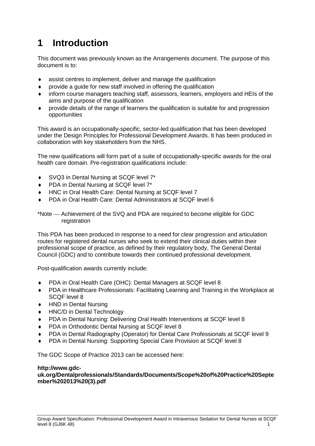## <span id="page-2-0"></span>**1 Introduction**

This document was previously known as the Arrangements document. The purpose of this document is to:

- assist centres to implement, deliver and manage the qualification
- provide a guide for new staff involved in offering the qualification
- inform course managers teaching staff, assessors, learners, employers and HEIs of the aims and purpose of the qualification
- provide details of the range of learners the qualification is suitable for and progression opportunities

This award is an occupationally-specific, sector-led qualification that has been developed under the Design Principles for Professional Development Awards. It has been produced in collaboration with key stakeholders from the NHS.

The new qualifications will form part of a suite of occupationally-specific awards for the oral health care domain. Pre-registration qualifications include:

- SVQ3 in Dental Nursing at SCQF level 7\*
- ◆ PDA in Dental Nursing at SCQF level 7<sup>\*</sup>
- HNC in Oral Health Care: Dental Nursing at SCQF level 7
- PDA in Oral Health Care: Dental Administrators at SCQF level 6

\*Note Achievement of the SVQ and PDA are required to become eligible for GDC registration

This PDA has been produced in response to a need for clear progression and articulation routes for registered dental nurses who seek to extend their clinical duties within their professional scope of practice, as defined by their regulatory body, The General Dental Council (GDC) and to contribute towards their continued professional development.

Post-qualification awards currently include:

- PDA in Oral Health Care (OHC): Dental Managers at SCQF level 8
- PDA in Healthcare Professionals: Facilitating Learning and Training in the Workplace at SCQF level 8
- HND in Dental Nursing
- HNC/D in Dental Technology
- PDA in Dental Nursing: Delivering Oral Health Interventions at SCQF level 8
- PDA in Orthodontic Dental Nursing at SCQF level 8
- PDA in Dental Radiography (Operator) for Dental Care Professionals at SCQF level 9
- PDA in Dental Nursing: Supporting Special Care Provision at SCQF level 8

The GDC Scope of Practice 2013 can be accessed here:

#### **[http://www.gdc-](http://www.gdc-uk.org/Dentalprofessionals/Standards/Documents/Scope%20of%20Practice%20September%202013%20(3).pdf)**

**[uk.org/Dentalprofessionals/Standards/Documents/Scope%20of%20Practice%20Septe](http://www.gdc-uk.org/Dentalprofessionals/Standards/Documents/Scope%20of%20Practice%20September%202013%20(3).pdf) [mber%202013%20\(3\).pdf](http://www.gdc-uk.org/Dentalprofessionals/Standards/Documents/Scope%20of%20Practice%20September%202013%20(3).pdf)**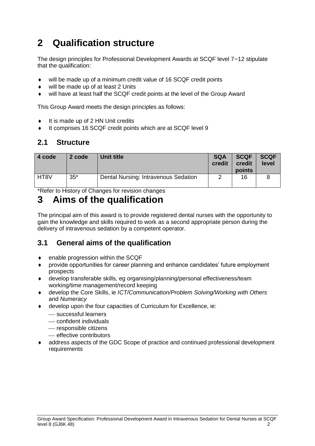## <span id="page-3-0"></span>**2 Qualification structure**

The design principles for Professional Development Awards at SCQF level 7–12 stipulate that the qualification:

- will be made up of a minimum credit value of 16 SCQF credit points
- ◆ will be made up of at least 2 Units
- will have at least half the SCQF credit points at the level of the Group Award

This Group Award meets the design principles as follows:

- It is made up of 2 HN Unit credits
- It comprises 16 SCQF credit points which are at SCQF level 9

#### <span id="page-3-1"></span>**2.1 Structure**

| 4 code | 2 code | Unit title                           | <b>SQA</b><br>credit | <b>SCQF</b><br>credit<br>points | <b>SCQF</b><br>level |
|--------|--------|--------------------------------------|----------------------|---------------------------------|----------------------|
| HT8V   | $35*$  | Dental Nursing: Intravenous Sedation |                      | 16                              |                      |

\*Refer to History of Changes for revision changes

### <span id="page-3-2"></span>**3 Aims of the qualification**

The principal aim of this award is to provide registered dental nurses with the opportunity to gain the knowledge and skills required to work as a second appropriate person during the delivery of intravenous sedation by a competent operator.

#### <span id="page-3-3"></span>**3.1 General aims of the qualification**

- enable progression within the SCQF
- provide opportunities for career planning and enhance candidates' future employment prospects
- develop transferable skills, eg organising/planning/personal effectiveness/team working/time management/record keeping
- develop the Core Skills, ie *ICT/Communication/Problem Solving/Working with Others* and *Numeracy*
- develop upon the four capacities of Curriculum for Excellence, ie:
	- successful learners
	- confident individuals
	- responsible citizens
	- $-$  effective contributors
- address aspects of the GDC Scope of practice and continued professional development requirements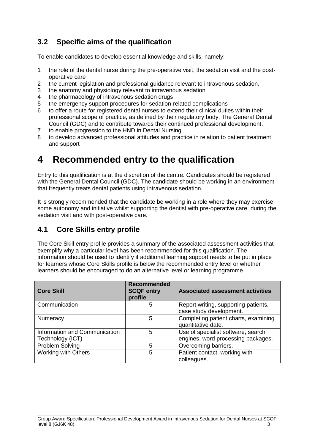### <span id="page-4-0"></span>**3.2 Specific aims of the qualification**

To enable candidates to develop essential knowledge and skills, namely:

- 1 the role of the dental nurse during the pre-operative visit, the sedation visit and the postoperative care
- 2 the current legislation and professional guidance relevant to intravenous sedation.
- 3 the anatomy and physiology relevant to intravenous sedation
- 4 the pharmacology of intravenous sedation drugs
- 5 the emergency support procedures for sedation-related complications
- 6 to offer a route for registered dental nurses to extend their clinical duties within their professional scope of practice, as defined by their regulatory body, The General Dental Council (GDC) and to contribute towards their continued professional development.
- 7 to enable progression to the HND in Dental Nursing
- 8 to develop advanced professional attitudes and practice in relation to patient treatment and support

### <span id="page-4-1"></span>**4 Recommended entry to the qualification**

Entry to this qualification is at the discretion of the centre. Candidates should be registered with the General Dental Council (GDC). The candidate should be working in an environment that frequently treats dental patients using intravenous sedation.

It is strongly recommended that the candidate be working in a role where they may exercise some autonomy and initiative whilst supporting the dentist with pre-operative care, during the sedation visit and with post-operative care.

#### <span id="page-4-2"></span>**4.1 Core Skills entry profile**

The Core Skill entry profile provides a summary of the associated assessment activities that exemplify why a particular level has been recommended for this qualification. The information should be used to identify if additional learning support needs to be put in place for learners whose Core Skills profile is below the recommended entry level or whether learners should be encouraged to do an alternative level or learning programme.

| <b>Core Skill</b>                                 | <b>Recommended</b><br><b>SCQF entry</b><br>profile | <b>Associated assessment activities</b>                                  |
|---------------------------------------------------|----------------------------------------------------|--------------------------------------------------------------------------|
| Communication                                     | 5                                                  | Report writing, supporting patients,<br>case study development.          |
| Numeracy                                          | 5                                                  | Completing patient charts, examining<br>quantitative date.               |
| Information and Communication<br>Technology (ICT) | 5                                                  | Use of specialist software, search<br>engines, word processing packages. |
| Problem Solving                                   | 5                                                  | Overcoming barriers.                                                     |
| <b>Working with Others</b>                        | 5                                                  | Patient contact, working with<br>colleagues.                             |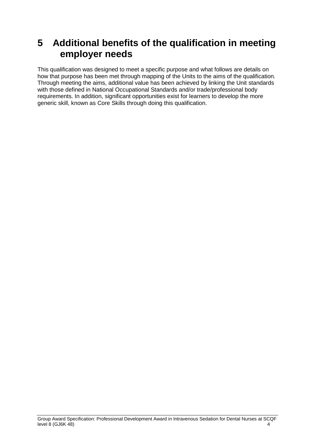### <span id="page-5-0"></span>**5 Additional benefits of the qualification in meeting employer needs**

This qualification was designed to meet a specific purpose and what follows are details on how that purpose has been met through mapping of the Units to the aims of the qualification. Through meeting the aims, additional value has been achieved by linking the Unit standards with those defined in National Occupational Standards and/or trade/professional body requirements. In addition, significant opportunities exist for learners to develop the more generic skill, known as Core Skills through doing this qualification.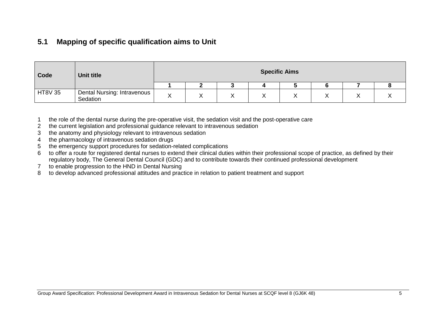#### **5.1 Mapping of specific qualification aims to Unit**

| Code           | Unit title                              |   |                   |        |           | <b>Specific Aims</b> |  |  |
|----------------|-----------------------------------------|---|-------------------|--------|-----------|----------------------|--|--|
|                |                                         |   |                   |        |           |                      |  |  |
| <b>HT8V 35</b> | Dental Nursing: Intravenous<br>Sedation | ⌒ | $\checkmark$<br>∧ | v<br>⌒ | $\lambda$ | ↗                    |  |  |

1 the role of the dental nurse during the pre-operative visit, the sedation visit and the post-operative care

- 2 the current legislation and professional guidance relevant to intravenous sedation
- 3 the anatomy and physiology relevant to intravenous sedation
- 4 the pharmacology of intravenous sedation drugs
- 5 the emergency support procedures for sedation-related complications
- 6 to offer a route for registered dental nurses to extend their clinical duties within their professional scope of practice, as defined by their regulatory body, The General Dental Council (GDC) and to contribute towards their continued professional development
- 7 to enable progression to the HND in Dental Nursing
- <span id="page-6-0"></span>8 to develop advanced professional attitudes and practice in relation to patient treatment and support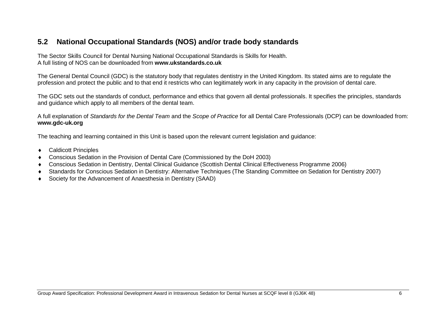#### **5.2 National Occupational Standards (NOS) and/or trade body standards**

The Sector Skills Council for Dental Nursing National Occupational Standards is Skills for Health. A full listing of NOS can be downloaded from **[www.ukstandards.co.uk](http://www.ukstandards.co.uk/)**

The General Dental Council (GDC) is the statutory body that regulates dentistry in the United Kingdom. Its stated aims are to regulate the profession and protect the public and to that end it restricts who can legitimately work in any capacity in the provision of dental care.

The GDC sets out the standards of conduct, performance and ethics that govern all dental professionals. It specifies the principles, standards and guidance which apply to all members of the dental team.

A full explanation of *Standards for the Dental Team* and the *Scope of Practice* for all Dental Care Professionals (DCP) can be downloaded from: **[www.gdc-uk.org](http://www.gdc-uk.org/)**

The teaching and learning contained in this Unit is based upon the relevant current legislation and guidance:

- Caldicott Principles
- Conscious Sedation in the Provision of Dental Care (Commissioned by the DoH 2003)
- Conscious Sedation in Dentistry, Dental Clinical Guidance (Scottish Dental Clinical Effectiveness Programme 2006)
- <span id="page-7-0"></span>Standards for Conscious Sedation in Dentistry: Alternative Techniques (The Standing Committee on Sedation for Dentistry 2007)
- Society for the Advancement of Anaesthesia in Dentistry (SAAD)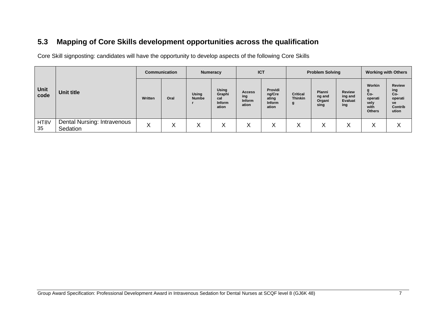### **5.3 Mapping of Core Skills development opportunities across the qualification**

Core Skill signposting: candidates will have the opportunity to develop aspects of the following Core Skills

<span id="page-8-0"></span>

|              |                                         | <b>Communication</b> |      | <b>Numeracy</b>              |                                           | <b>ICT</b>                              |                                               | <b>Problem Solving</b>                 |                                    |                                     | <b>Working with Others</b>                                     |                                                                  |
|--------------|-----------------------------------------|----------------------|------|------------------------------|-------------------------------------------|-----------------------------------------|-----------------------------------------------|----------------------------------------|------------------------------------|-------------------------------------|----------------------------------------------------------------|------------------------------------------------------------------|
| Unit<br>code | Unit title                              | Written              | Oral | <b>Using</b><br><b>Numbe</b> | Using<br>Graphi<br>cal<br>Inform<br>ation | <b>Access</b><br>ing<br>Inform<br>ation | Providi<br>ng/Cre<br>ating<br>Inform<br>ation | <b>Critical</b><br><b>Thinkin</b><br>g | Planni<br>ng and<br>Organi<br>sing | Review<br>ing and<br>Evaluat<br>ing | Workin<br>g<br>Co-<br>operati<br>vely<br>with<br><b>Others</b> | <b>Review</b><br>ing<br>Co-<br>operati<br>ve<br>Contrib<br>ution |
| HT8V<br>35   | Dental Nursing: Intravenous<br>Sedation | ⌒                    |      | X                            | X                                         | Х                                       | X                                             | л                                      | X                                  | Х                                   | $\checkmark$<br>⋏                                              | ∧                                                                |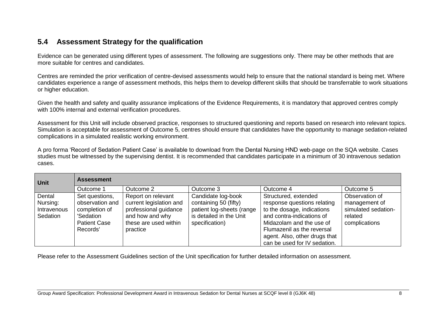#### **5.4 Assessment Strategy for the qualification**

Evidence can be generated using different types of assessment. The following are suggestions only. There may be other methods that are more suitable for centres and candidates.

Centres are reminded the prior verification of centre-devised assessments would help to ensure that the national standard is being met. Where candidates experience a range of assessment methods, this helps them to develop different skills that should be transferrable to work situations or higher education.

Given the health and safety and quality assurance implications of the Evidence Requirements, it is mandatory that approved centres comply with 100% internal and external verification procedures.

Assessment for this Unit will include observed practice, responses to structured questioning and reports based on research into relevant topics. Simulation is acceptable for assessment of Outcome 5, centres should ensure that candidates have the opportunity to manage sedation-related complications in a simulated realistic working environment.

A pro forma 'Record of Sedation Patient Case' is available to download from the Dental Nursing HND web-page on the SQA website. Cases studies must be witnessed by the supervising dentist. It is recommended that candidates participate in a minimum of 30 intravenous sedation cases.

<span id="page-9-0"></span>

| <b>Unit</b>                                   | <b>Assessment</b>                                                                                  |                                                                                                                                |                                                                                                                       |                                                                                                                                                                                                                                           |                                                                                    |
|-----------------------------------------------|----------------------------------------------------------------------------------------------------|--------------------------------------------------------------------------------------------------------------------------------|-----------------------------------------------------------------------------------------------------------------------|-------------------------------------------------------------------------------------------------------------------------------------------------------------------------------------------------------------------------------------------|------------------------------------------------------------------------------------|
|                                               | Outcome 1                                                                                          | Outcome 2                                                                                                                      | Outcome 3                                                                                                             | Outcome 4                                                                                                                                                                                                                                 | Outcome 5                                                                          |
| Dental<br>Nursing:<br>Intravenous<br>Sedation | Set questions,<br>observation and<br>completion of<br>'Sedation<br><b>Patient Case</b><br>Records' | Report on relevant<br>current legislation and<br>professional guidance<br>and how and why<br>these are used within<br>practice | Candidate log-book<br>containing 50 (fifty)<br>patient log-sheets (range<br>is detailed in the Unit<br>specification) | Structured, extended<br>response questions relating<br>to the dosage, indications<br>and contra-indications of<br>Midazolam and the use of<br>Flumazenil as the reversal<br>agent. Also, other drugs that<br>can be used for IV sedation. | Observation of<br>management of<br>simulated sedation-<br>related<br>complications |

Please refer to the Assessment Guidelines section of the Unit specification for further detailed information on assessment.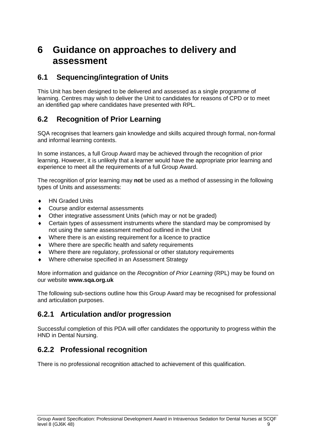### <span id="page-10-0"></span>**6 Guidance on approaches to delivery and assessment**

#### <span id="page-10-1"></span>**6.1 Sequencing/integration of Units**

This Unit has been designed to be delivered and assessed as a single programme of learning. Centres may wish to deliver the Unit to candidates for reasons of CPD or to meet an identified gap where candidates have presented with RPL.

#### <span id="page-10-2"></span>**6.2 Recognition of Prior Learning**

SQA recognises that learners gain knowledge and skills acquired through formal, non-formal and informal learning contexts.

In some instances, a full Group Award may be achieved through the recognition of prior learning. However, it is unlikely that a learner would have the appropriate prior learning and experience to meet all the requirements of a full Group Award.

The recognition of prior learning may **not** be used as a method of assessing in the following types of Units and assessments:

- ◆ HN Graded Units
- Course and/or external assessments
- Other integrative assessment Units (which may or not be graded)
- Certain types of assessment instruments where the standard may be compromised by not using the same assessment method outlined in the Unit
- Where there is an existing requirement for a licence to practice
- Where there are specific health and safety requirements
- Where there are regulatory, professional or other statutory requirements
- Where otherwise specified in an Assessment Strategy

More information and guidance on the *Recognition of Prior Learning* (RPL) may be found on our website **[www.sqa.org.uk](http://www.sqa.org.uk/)**

The following sub-sections outline how this Group Award may be recognised for professional and articulation purposes.

#### **6.2.1 Articulation and/or progression**

Successful completion of this PDA will offer candidates the opportunity to progress within the HND in Dental Nursing.

#### **6.2.2 Professional recognition**

There is no professional recognition attached to achievement of this qualification.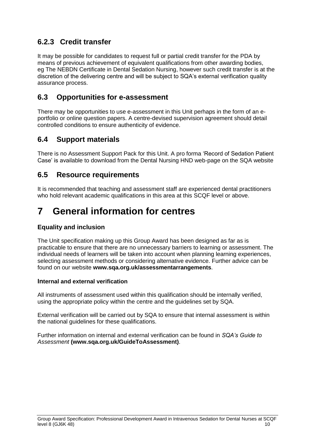### **6.2.3 Credit transfer**

It may be possible for candidates to request full or partial credit transfer for the PDA by means of previous achievement of equivalent qualifications from other awarding bodies, eg The NEBDN Certificate in Dental Sedation Nursing, however such credit transfer is at the discretion of the delivering centre and will be subject to SQA's external verification quality assurance process.

#### <span id="page-11-0"></span>**6.3 Opportunities for e-assessment**

There may be opportunities to use e-assessment in this Unit perhaps in the form of an eportfolio or online question papers. A centre-devised supervision agreement should detail controlled conditions to ensure authenticity of evidence.

#### <span id="page-11-1"></span>**6.4 Support materials**

There is no Assessment Support Pack for this Unit. A pro forma 'Record of Sedation Patient Case' is available to download from the Dental Nursing HND web-page on the SQA website

#### <span id="page-11-2"></span>**6.5 Resource requirements**

It is recommended that teaching and assessment staff are experienced dental practitioners who hold relevant academic qualifications in this area at this SCQF level or above.

## <span id="page-11-3"></span>**7 General information for centres**

#### **Equality and inclusion**

The Unit specification making up this Group Award has been designed as far as is practicable to ensure that there are no unnecessary barriers to learning or assessment. The individual needs of learners will be taken into account when planning learning experiences, selecting assessment methods or considering alternative evidence. Further advice can be found on our website **[www.sqa.org.uk/assessmentarrangements](http://www.sqa.org.uk/sqa/14977.html)**.

#### **Internal and external verification**

All instruments of assessment used within this qualification should be internally verified, using the appropriate policy within the centre and the guidelines set by SQA.

External verification will be carried out by SQA to ensure that internal assessment is within the national guidelines for these qualifications.

Further information on internal and external verification can be found in *SQA's Guide to Assessment* **[\(www.sqa.org.uk/GuideToAssessment\)](http://www.sqa.org.uk/sqa/files_ccc/GuideToAssessment.pdf)**.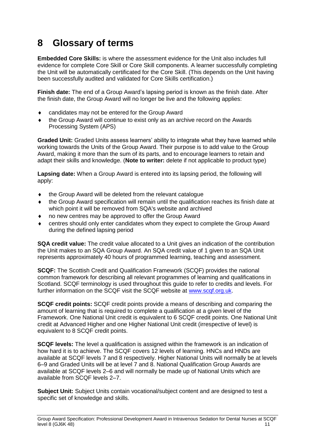## <span id="page-12-0"></span>**8 Glossary of terms**

**Embedded Core Skills:** is where the assessment evidence for the Unit also includes full evidence for complete Core Skill or Core Skill components. A learner successfully completing the Unit will be automatically certificated for the Core Skill. (This depends on the Unit having been successfully audited and validated for Core Skills certification.)

**Finish date:** The end of a Group Award's lapsing period is known as the finish date. After the finish date, the Group Award will no longer be live and the following applies:

- candidates may not be entered for the Group Award
- the Group Award will continue to exist only as an archive record on the Awards Processing System (APS)

**Graded Unit:** Graded Units assess learners' ability to integrate what they have learned while working towards the Units of the Group Award. Their purpose is to add value to the Group Award, making it more than the sum of its parts, and to encourage learners to retain and adapt their skills and knowledge. (**Note to writer:** delete if not applicable to product type)

**Lapsing date:** When a Group Award is entered into its lapsing period, the following will apply:

- the Group Award will be deleted from the relevant catalogue
- the Group Award specification will remain until the qualification reaches its finish date at which point it will be removed from SQA's website and archived
- no new centres may be approved to offer the Group Award
- centres should only enter candidates whom they expect to complete the Group Award during the defined lapsing period

**SQA credit value:** The credit value allocated to a Unit gives an indication of the contribution the Unit makes to an SQA Group Award. An SQA credit value of 1 given to an SQA Unit represents approximately 40 hours of programmed learning, teaching and assessment.

**SCQF:** The Scottish Credit and Qualification Framework (SCQF) provides the national common framework for describing all relevant programmes of learning and qualifications in Scotland. SCQF terminology is used throughout this guide to refer to credits and levels. For further information on the SCQF visit the SCQF website at [www.scqf.org.uk.](http://www.scqf.org.uk/)

**SCQF credit points:** SCQF credit points provide a means of describing and comparing the amount of learning that is required to complete a qualification at a given level of the Framework. One National Unit credit is equivalent to 6 SCQF credit points. One National Unit credit at Advanced Higher and one Higher National Unit credit (irrespective of level) is equivalent to 8 SCQF credit points.

**SCQF levels:** The level a qualification is assigned within the framework is an indication of how hard it is to achieve. The SCQF covers 12 levels of learning. HNCs and HNDs are available at SCQF levels 7 and 8 respectively. Higher National Units will normally be at levels 6–9 and Graded Units will be at level 7 and 8. National Qualification Group Awards are available at SCQF levels 2–6 and will normally be made up of National Units which are available from SCQF levels 2–7.

**Subject Unit:** Subject Units contain vocational/subject content and are designed to test a specific set of knowledge and skills.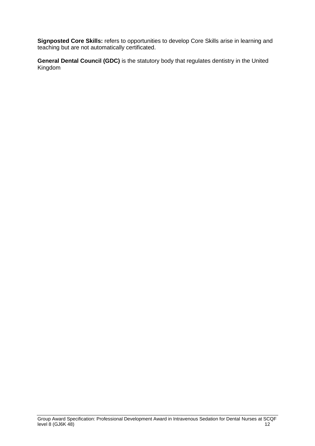**Signposted Core Skills:** refers to opportunities to develop Core Skills arise in learning and teaching but are not automatically certificated.

**General Dental Council (GDC)** is the statutory body that regulates dentistry in the United Kingdom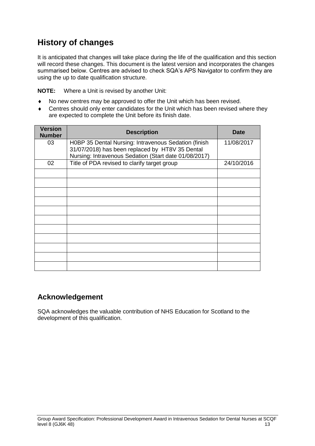### **History of changes**

It is anticipated that changes will take place during the life of the qualification and this section will record these changes. This document is the latest version and incorporates the changes summarised below. Centres are advised to check SQA's APS Navigator to confirm they are using the up to date qualification structure.

**NOTE:** Where a Unit is revised by another Unit:

- No new centres may be approved to offer the Unit which has been revised.
- Centres should only enter candidates for the Unit which has been revised where they are expected to complete the Unit before its finish date.

| <b>Version</b><br><b>Number</b> | <b>Description</b>                                                                                                                                               | <b>Date</b> |
|---------------------------------|------------------------------------------------------------------------------------------------------------------------------------------------------------------|-------------|
| 03                              | H0BP 35 Dental Nursing: Intravenous Sedation (finish<br>31/07/2018) has been replaced by HT8V 35 Dental<br>Nursing: Intravenous Sedation (Start date 01/08/2017) | 11/08/2017  |
| 02                              | Title of PDA revised to clarify target group                                                                                                                     | 24/10/2016  |
|                                 |                                                                                                                                                                  |             |
|                                 |                                                                                                                                                                  |             |
|                                 |                                                                                                                                                                  |             |
|                                 |                                                                                                                                                                  |             |
|                                 |                                                                                                                                                                  |             |
|                                 |                                                                                                                                                                  |             |
|                                 |                                                                                                                                                                  |             |
|                                 |                                                                                                                                                                  |             |
|                                 |                                                                                                                                                                  |             |
|                                 |                                                                                                                                                                  |             |
|                                 |                                                                                                                                                                  |             |

#### **Acknowledgement**

SQA acknowledges the valuable contribution of NHS Education for Scotland to the development of this qualification.